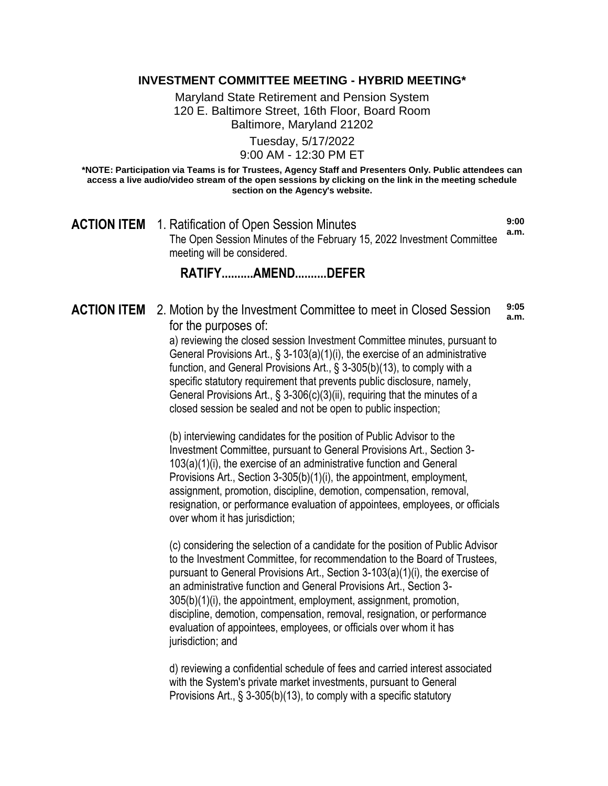### **INVESTMENT COMMITTEE MEETING - HYBRID MEETING\***

Maryland State Retirement and Pension System 120 E. Baltimore Street, 16th Floor, Board Room Baltimore, Maryland 21202

> Tuesday, 5/17/2022 9:00 AM - 12:30 PM ET

**\*NOTE: Participation via Teams is for Trustees, Agency Staff and Presenters Only. Public attendees can access a live audio/video stream of the open sessions by clicking on the link in the meeting schedule section on the Agency's website.**

**ACTION ITEM** 1. Ratification of Open Session Minutes The Open Session Minutes of the February 15, 2022 Investment Committee meeting will be considered. **9:00 a.m.**

### **RATIFY..........AMEND..........DEFER**

#### **ACTION ITEM** 2. Motion by the Investment Committee to meet in Closed Session for the purposes of: **9:05 a.m.**

a) reviewing the closed session Investment Committee minutes, pursuant to General Provisions Art., § 3-103(a)(1)(i), the exercise of an administrative function, and General Provisions Art., § 3-305(b)(13), to comply with a specific statutory requirement that prevents public disclosure, namely, General Provisions Art., § 3-306(c)(3)(ii), requiring that the minutes of a closed session be sealed and not be open to public inspection;

(b) interviewing candidates for the position of Public Advisor to the Investment Committee, pursuant to General Provisions Art., Section 3- 103(a)(1)(i), the exercise of an administrative function and General Provisions Art., Section 3-305(b)(1)(i), the appointment, employment, assignment, promotion, discipline, demotion, compensation, removal, resignation, or performance evaluation of appointees, employees, or officials over whom it has jurisdiction;

(c) considering the selection of a candidate for the position of Public Advisor to the Investment Committee, for recommendation to the Board of Trustees, pursuant to General Provisions Art., Section 3-103(a)(1)(i), the exercise of an administrative function and General Provisions Art., Section 3- 305(b)(1)(i), the appointment, employment, assignment, promotion, discipline, demotion, compensation, removal, resignation, or performance evaluation of appointees, employees, or officials over whom it has jurisdiction; and

d) reviewing a confidential schedule of fees and carried interest associated with the System's private market investments, pursuant to General Provisions Art., § 3-305(b)(13), to comply with a specific statutory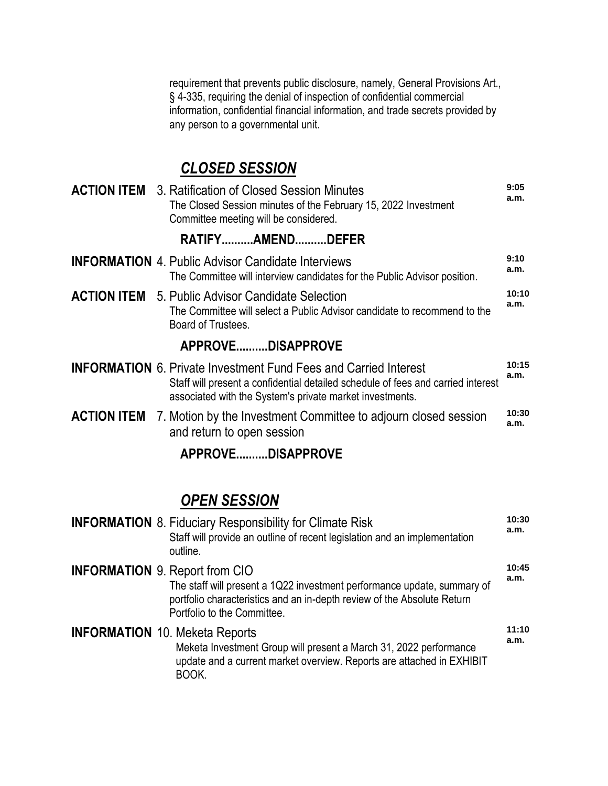requirement that prevents public disclosure, namely, General Provisions Art., § 4-335, requiring the denial of inspection of confidential commercial information, confidential financial information, and trade secrets provided by any person to a governmental unit.

# *CLOSED SESSION*

|  | <b>ACTION ITEM</b> 3. Ratification of Closed Session Minutes<br>The Closed Session minutes of the February 15, 2022 Investment<br>Committee meeting will be considered.                                                 | 9:05<br>a.m.  |
|--|-------------------------------------------------------------------------------------------------------------------------------------------------------------------------------------------------------------------------|---------------|
|  | RATIFYAMENDDEFER                                                                                                                                                                                                        |               |
|  | <b>INFORMATION</b> 4. Public Advisor Candidate Interviews<br>The Committee will interview candidates for the Public Advisor position.                                                                                   | 9:10<br>a.m.  |
|  | <b>ACTION ITEM</b> 5. Public Advisor Candidate Selection<br>The Committee will select a Public Advisor candidate to recommend to the<br>Board of Trustees.                                                              | 10:10<br>a.m. |
|  | APPROVEDISAPPROVE                                                                                                                                                                                                       |               |
|  | <b>INFORMATION</b> 6. Private Investment Fund Fees and Carried Interest<br>Staff will present a confidential detailed schedule of fees and carried interest<br>associated with the System's private market investments. | 10:15<br>a.m. |
|  | <b>ACTION ITEM</b> 7. Motion by the Investment Committee to adjourn closed session<br>and return to open session                                                                                                        | 10:30<br>a.m. |
|  | APPROVEDISAPPROVE                                                                                                                                                                                                       |               |

## *OPEN SESSION*

| <b>INFORMATION 8. Fiduciary Responsibility for Climate Risk</b><br>Staff will provide an outline of recent legislation and an implementation<br>outline.                                                                   | 10:30<br>a.m. |
|----------------------------------------------------------------------------------------------------------------------------------------------------------------------------------------------------------------------------|---------------|
| <b>INFORMATION</b> 9. Report from CIO<br>The staff will present a 1Q22 investment performance update, summary of<br>portfolio characteristics and an in-depth review of the Absolute Return<br>Portfolio to the Committee. | 10:45<br>a.m. |
| <b>INFORMATION 10. Meketa Reports</b><br>Meketa Investment Group will present a March 31, 2022 performance<br>update and a current market overview. Reports are attached in EXHIBIT<br>BOOK.                               | 11:10<br>a.m. |